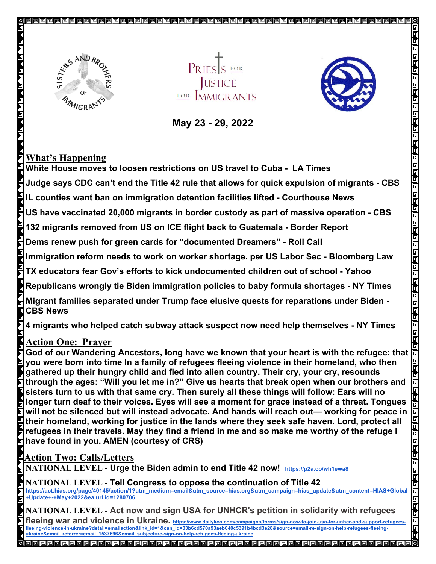

**JUSTICE** FOR MMICRANTS



 **May 23 - 29, 2022** 

## **What's Happening**

**White House moves to loosen restrictions on US travel to Cuba - LA Times** 

**Judge says CDC can't end the Title 42 rule that allows for quick expulsion of migrants - CBS**

**IL counties want ban on immigration detention facilities lifted - Courthouse News**

**US have vaccinated 20,000 migrants in border custody as part of massive operation - CBS**

**132 migrants removed from US on ICE flight back to Guatemala - Border Report**

**Dems renew push for green cards for "documented Dreamers" - Roll Call**

**Immigration reform needs to work on worker shortage. per US Labor Sec - Bloomberg Law**

**TX educators fear Gov's efforts to kick undocumented children out of school - Yahoo**

**Republicans wrongly tie Biden immigration policies to baby formula shortages - NY Times**

**Migrant families separated under Trump face elusive quests for reparations under Biden - CBS News**

**4 migrants who helped catch subway attack suspect now need help themselves - NY Times**

## **Action One: Prayer**

**God of our Wandering Ancestors, long have we known that your heart is with the refugee: that you were born into time In a family of refugees fleeing violence in their homeland, who then gathered up their hungry child and fled into alien country. Their cry, your cry, resounds through the ages: "Will you let me in?" Give us hearts that break open when our brothers and sisters turn to us with that same cry. Then surely all these things will follow: Ears will no longer turn deaf to their voices. Eyes will see a moment for grace instead of a threat. Tongues will not be silenced but will instead advocate. And hands will reach out— working for peace in their homeland, working for justice in the lands where they seek safe haven. Lord, protect all refugees in their travels. May they find a friend in me and so make me worthy of the refuge I have found in you. AMEN (courtesy of CRS)**

## **Action Two: Calls/Letters**

**NATIONAL LEVEL - Urge the Biden admin to end Title 42 now! <https://p2a.co/wh1ewa8>**

**NATIONAL LEVEL - Tell Congress to oppose the continuation of Title 42 [https://act.hias.org/page/40145/action/1?utm\\_medium=email&utm\\_source=hias.org&utm\\_campaign=hias\\_update&utm\\_content=HIAS+Global](https://act.hias.org/page/40145/action/1?utm_medium=email&utm_source=hias.org&utm_campaign=hias_update&utm_content=HIAS+Global+Update+-+May+2022&ea.url.id=1280706) [+Update+-+May+2022&ea.url.id=1280706](https://act.hias.org/page/40145/action/1?utm_medium=email&utm_source=hias.org&utm_campaign=hias_update&utm_content=HIAS+Global+Update+-+May+2022&ea.url.id=1280706)**

**NATIONAL LEVEL - Act now and sign USA for UNHCR's petition in solidarity with refugees**  fleeing war and violence in Ukraine. [https://www.dailykos.com/campaigns/forms/sign-now-to-join-usa-for-unhcr-and-support-refugees](https://www.dailykos.com/campaigns/forms/sign-now-to-join-usa-for-unhcr-and-support-refugees-fleeing-violence-in-ukraine?detail=emailaction&link_id=1&can_id=03b6cd570a93aeb040c5391b4bcd3e28&source=email-re-sign-on-help-refugees-fleeing-ukraine&email_referrer=email_1537696&email_subject=re-sign-on-help-refugees-fleeing-ukraine)**[fleeing-violence-in-ukraine?detail=emailaction&link\\_id=1&can\\_id=03b6cd570a93aeb040c5391b4bcd3e28&source=email-re-sign-on-help-refugees-fleeing](https://www.dailykos.com/campaigns/forms/sign-now-to-join-usa-for-unhcr-and-support-refugees-fleeing-violence-in-ukraine?detail=emailaction&link_id=1&can_id=03b6cd570a93aeb040c5391b4bcd3e28&source=email-re-sign-on-help-refugees-fleeing-ukraine&email_referrer=email_1537696&email_subject=re-sign-on-help-refugees-fleeing-ukraine)[ukraine&email\\_referrer=email\\_1537696&email\\_subject=re-sign-on-help-refugees-fleeing-ukraine](https://www.dailykos.com/campaigns/forms/sign-now-to-join-usa-for-unhcr-and-support-refugees-fleeing-violence-in-ukraine?detail=emailaction&link_id=1&can_id=03b6cd570a93aeb040c5391b4bcd3e28&source=email-re-sign-on-help-refugees-fleeing-ukraine&email_referrer=email_1537696&email_subject=re-sign-on-help-refugees-fleeing-ukraine)**

<u>I e e e e e e e e e e e e</u>